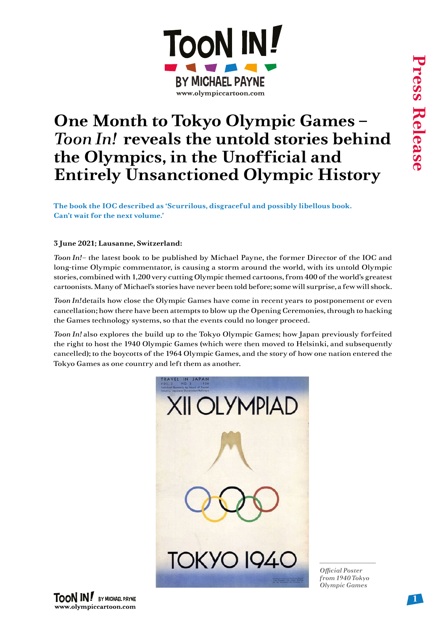

## **One Month to Tokyo Olympic Games –**  *Toon In!* **reveals the untold stories behind the Olympics, in the Unofficial and Entirely Unsanctioned Olympic History**

**The book the IOC described as 'Scurrilous, disgraceful and possibly libellous book. Can't wait for the next volume.'**

## **3 June 2021; Lausanne, Switzerland:**

*Toon In!* – the latest book to be published by Michael Payne, the former Director of the IOC and long-time Olympic commentator, is causing a storm around the world, with its untold Olympic stories, combined with 1,200 very cutting Olympic themed cartoons, from 400 of the world's greatest cartoonists. Many of Michael's stories have never been told before; some will surprise, a few will shock.

*Toon In!* details how close the Olympic Games have come in recent years to postponement or even cancellation; how there have been attempts to blow up the Opening Ceremonies, through to hacking the Games technology systems, so that the events could no longer proceed.

*Toon In!* also explores the build up to the Tokyo Olympic Games; how Japan previously forfeited the right to host the 1940 Olympic Games (which were then moved to Helsinki, and subsequently cancelled); to the boycotts of the 1964 Olympic Games, and the story of how one nation entered the Tokyo Games as one country and left them as another.



*Official Poster from 1940 Tokyo Olympic Games*

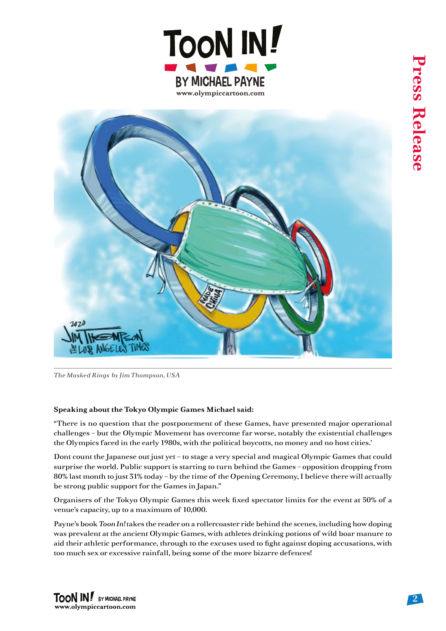



*The Masked Rings by Jim Thompson, USA*

## **Speaking about the Tokyo Olympic Games Michael said:**

"There is no question that the postponement of these Games, have presented major operational challenges – but the Olympic Movement has overcome far worse, notably the existential challenges the Olympics faced in the early 1980s, with the political boycotts, no money and no host cities.'

Dont count the Japanese out just yet – to stage a very special and magical Olympic Games that could surprise the world. Public support is starting to turn behind the Games – opposition dropping from 80% last month to just 31% today – by the time of the Opening Ceremony, I believe there will actually be strong public support for the Games in Japan."

Organisers of the Tokyo Olympic Games this week fixed spectator limits for the event at 50% of a venue's capacity, up to a maximum of 10,000.

Payne's book *Toon In!* takes the reader on a rollercoaster ride behind the scenes, including how doping was prevalent at the ancient Olympic Games, with athletes drinking potions of wild boar manure to aid their athletic performance, through to the excuses used to fight against doping accusations, with too much sex or excessive rainfall, being some of the more bizarre defences!